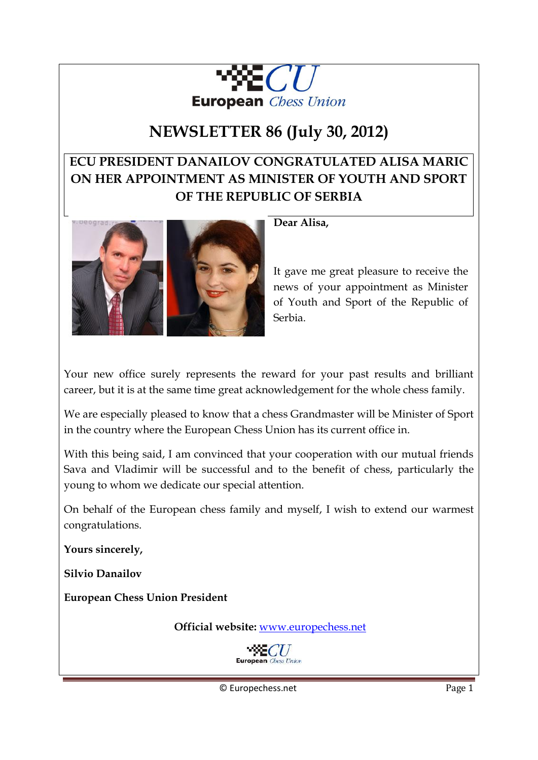

# **NEWSLETTER 86 (July 30, 2012)**

## **ECU PRESIDENT DANAILOV CONGRATULATED ALISA MARIC ON HER APPOINTMENT AS MINISTER OF YOUTH AND SPORT OF THE REPUBLIC OF SERBIA**



**Dear Alisa,** 

It gave me great pleasure to receive the news of your appointment as Minister of Youth and Sport of the Republic of Serbia.

Your new office surely represents the reward for your past results and brilliant career, but it is at the same time great acknowledgement for the whole chess family.

We are especially pleased to know that a chess Grandmaster will be Minister of Sport in the country where the European Chess Union has its current office in.

With this being said, I am convinced that your cooperation with our mutual friends Sava and Vladimir will be successful and to the benefit of chess, particularly the young to whom we dedicate our special attention.

On behalf of the European chess family and myself, I wish to extend our warmest congratulations.

**Yours sincerely,** 

**Silvio Danailov** 

**European Chess Union President** 

 **Official website:** [www.europechess.net](http://www.europechess.net/) 

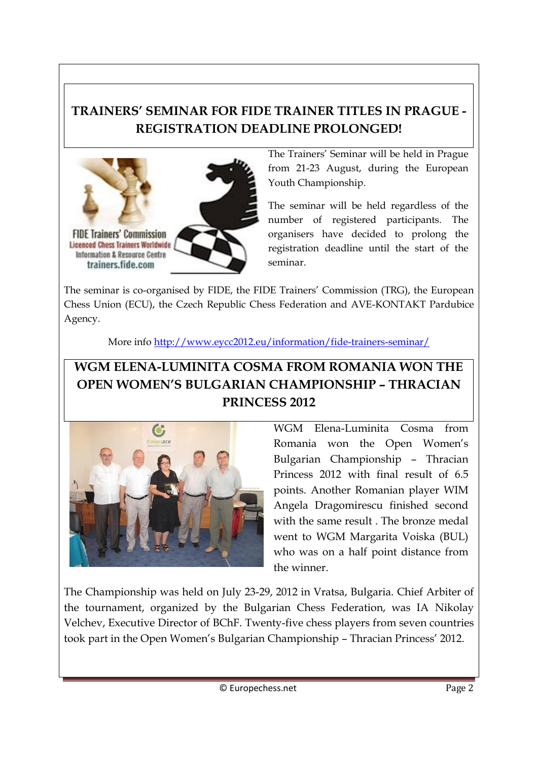## **TRAINERS' SEMINAR FOR FIDE TRAINER TITLES IN PRAGUE - REGISTRATION DEADLINE PROLONGED!**



The Trainers' Seminar will be held in Prague from 21-23 August, during the European Youth Championship.

The seminar will be held regardless of the number of registered participants. The organisers have decided to prolong the registration deadline until the start of the seminar.

The seminar is co-organised by FIDE, the FIDE Trainers' Commission (TRG), the European Chess Union (ECU), the Czech Republic Chess Federation and AVE-KONTAKT Pardubice Agency.

More info<http://www.eycc2012.eu/information/fide-trainers-seminar/>

## **WGM ELENA-LUMINITA COSMA FROM ROMANIA WON THE OPEN WOMEN'S BULGARIAN CHAMPIONSHIP – THRACIAN PRINCESS 2012**



WGM Elena-Luminita Cosma from Romania won the Open Women's Bulgarian Championship – Thracian Princess 2012 with final result of 6.5 points. Another Romanian player WIM Angela Dragomirescu finished second with the same result . The bronze medal went to WGM Margarita Voiska (BUL) who was on a half point distance from the winner.

The Championship was held on July 23-29, 2012 in Vratsa, Bulgaria. Chief Arbiter of the tournament, organized by the Bulgarian Chess Federation, was IA Nikolay Velchev, Executive Director of BChF. Twenty-five chess players from seven countries took part in the Open Women's Bulgarian Championship – Thracian Princess' 2012.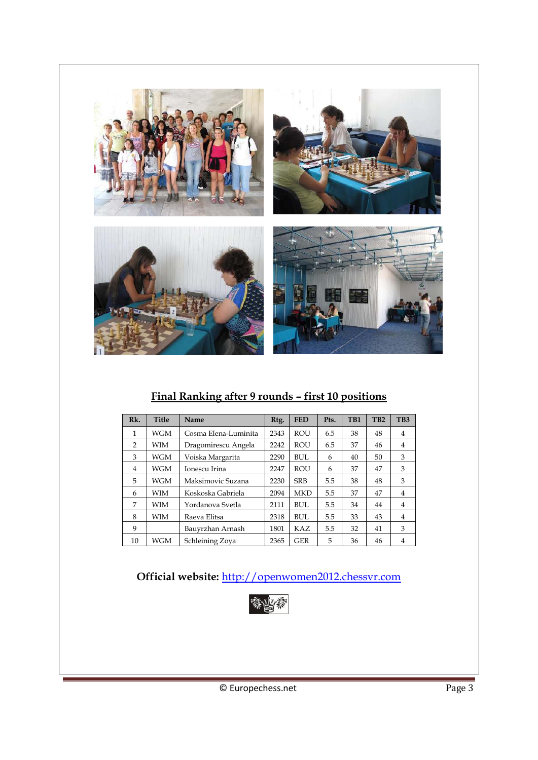

### **Final Ranking after 9 rounds – first 10 positions**

| Rk. | <b>Title</b> | Name                 | Rtg. | <b>FED</b> | Pts. | T <sub>B1</sub> | TB <sub>2</sub> | TB <sub>3</sub> |
|-----|--------------|----------------------|------|------------|------|-----------------|-----------------|-----------------|
| 1   | WGM          | Cosma Elena-Luminita | 2343 | <b>ROU</b> | 6.5  | 38              | 48              | 4               |
| 2   | WIM          | Dragomirescu Angela  | 2242 | ROU        | 6.5  | 37              | 46              | 4               |
| 3   | WGM          | Voiska Margarita     | 2290 | <b>BUL</b> | 6    | 40              | 50              | 3               |
| 4   | WGM          | Ionescu Irina        | 2247 | ROU        | 6    | 37              | 47              | 3               |
| 5   | WGM          | Maksimovic Suzana    | 2230 | <b>SRB</b> | 5.5  | 38              | 48              | 3               |
| 6   | WIM          | Koskoska Gabriela    | 2094 | <b>MKD</b> | 5.5  | 37              | 47              | 4               |
| 7   | WIM          | Yordanova Svetla     | 2111 | BUL.       | 5.5  | 34              | 44              | 4               |
| 8   | WIM          | Raeva Elitsa         | 2318 | <b>BUL</b> | 5.5  | 33              | 43              | 4               |
| 9   |              | Bauyrzhan Arnash     | 1801 | KAZ        | 5.5  | 32              | 41              | 3               |
| 10  | WGM          | Schleining Zoya      | 2365 | <b>GER</b> | 5    | 36              | 46              | 4               |

### **Official website:** [http://openwomen2012.chessvr.com](http://openwomen2012.chessvr.com/)

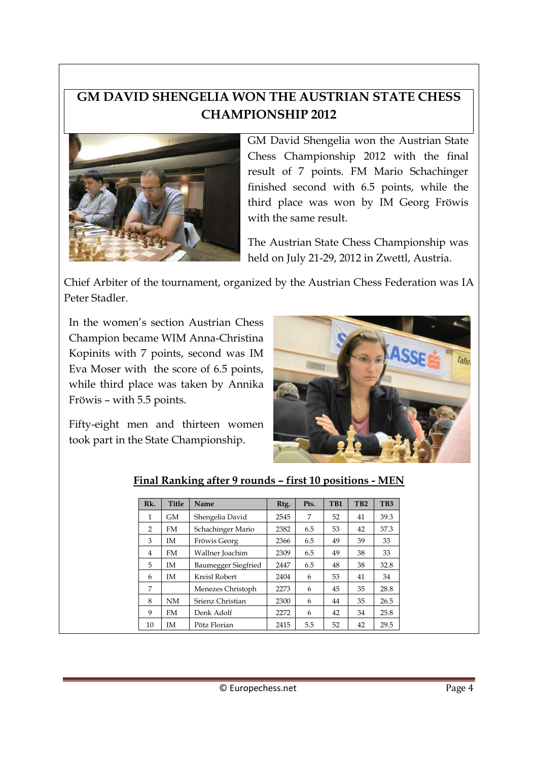## **GM DAVID SHENGELIA WON THE AUSTRIAN STATE CHESS CHAMPIONSHIP 2012**



GM David Shengelia won the Austrian State Chess Championship 2012 with the final result of 7 points. FM Mario Schachinger finished second with 6.5 points, while the third place was won by IM Georg Fröwis with the same result.

The Austrian State Chess Championship was held on July 21-29, 2012 in Zwettl, Austria.

Chief Arbiter of the tournament, organized by the Austrian Chess Federation was IA Peter Stadler.

In the women's section Austrian Chess Champion became WIM Anna-Christina Kopinits with 7 points, second was IM Eva Moser with the score of 6.5 points, while third place was taken by Annika Fröwis – with 5.5 points.

Fifty-eight men and thirteen women took part in the State Championship.



| $Rk$ . | <b>Title</b> | <b>Name</b>         | R <sub>tg</sub> . | Pts. | T <sub>B1</sub> | T <sub>B2</sub> | T <sub>B</sub> 3 |
|--------|--------------|---------------------|-------------------|------|-----------------|-----------------|------------------|
| 1      | <b>GM</b>    | Shengelia David     | 2545              | 7    | 52              | 41              | 39.3             |
| 2      | FM           | Schachinger Mario   | 2382              | 6.5  | 53              | 42              | 37.3             |
| 3      | IM           | Fröwis Georg        | 2366              | 6.5  | 49              | 39              | 33               |
| 4      | FM.          | Wallner Joachim     | 2309              | 6.5  | 49              | 38              | 33               |
| 5      | <b>IM</b>    | Baumegger Siegfried | 2447              | 6.5  | 48              | 38              | 32.8             |
| 6      | IM           | Kreisl Robert       | 2404              | 6    | 53              | 41              | 34               |
| 7      |              | Menezes Christoph   | 2273              | 6    | 45              | 35              | 28.8             |
| 8      | <b>NM</b>    | Srienz Christian    | 2300              | 6    | 44              | 35              | 26.5             |
| 9      | <b>FM</b>    | Denk Adolf          | 2272              | 6    | 42              | 34              | 25.8             |
| 10     | IM           | Pötz Florian        | 2415              | 5.5  | 52              | 42              | 29.5             |

### **Final Ranking after 9 rounds – first 10 positions - MEN**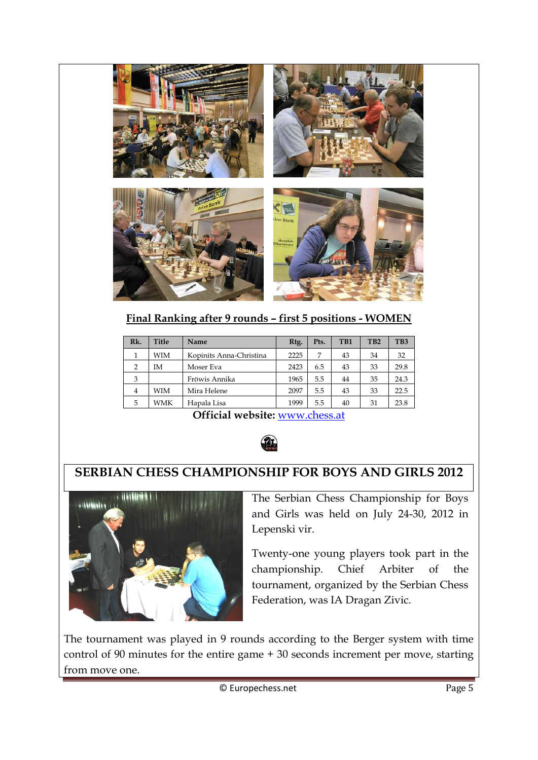

### **Final Ranking after 9 rounds – first 5 positions - WOMEN**

| Rk.            | <b>Title</b> | Name                    | R <sub>tg</sub> . | Pts. | TB1 | TB <sub>2</sub> | TB <sub>3</sub> |
|----------------|--------------|-------------------------|-------------------|------|-----|-----------------|-----------------|
| 1              | WIM          | Kopinits Anna-Christina | 2225              | 7    | 43  | 34              | 32              |
| $\mathcal{P}$  | IΜ           | Moser Eva               | 2423              | 6.5  | 43  | 33              | 29.8            |
| 3              |              | Fröwis Annika           | 1965              | 5.5  | 44  | 35              | 24.3            |
| $\overline{4}$ | WIM          | Mira Helene             | 2097              | 5.5  | 43  | 33              | 22.5            |
| 5              | WMK          | Hapala Lisa             | 1999              | 5.5  | 40  | 31              | 23.8            |

**Official website:** [www.chess.at](http://www.chess.at/) 



## **SERBIAN CHESS CHAMPIONSHIP FOR BOYS AND GIRLS 2012**



The Serbian Chess Championship for Boys and Girls was held on July 24-30, 2012 in Lepenski vir.

Twenty-one young players took part in the championship. Chief Arbiter of the tournament, organized by the Serbian Chess Federation, was IA Dragan Zivic.

The tournament was played in 9 rounds according to the Berger system with time control of 90 minutes for the entire game + 30 seconds increment per move, starting from move one.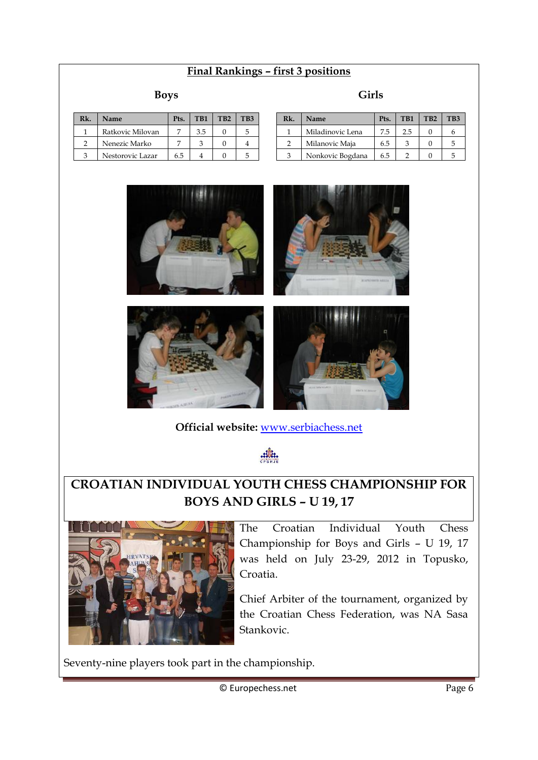### **Final Rankings – first 3 positions**

#### **Boys**

| Rk. | <b>Name</b>      | Pts. | TB <sub>1</sub> | TB <sub>2</sub> | TB3 |
|-----|------------------|------|-----------------|-----------------|-----|
|     | Ratkovic Milovan |      | 3.5             |                 |     |
|     | Nenezic Marko    |      |                 |                 |     |
|     | Nestorovic Lazar | 65   |                 |                 |     |

| Rk. | Name             | Pts. | TB1 | T <sub>B</sub> 2 | TB3 |
|-----|------------------|------|-----|------------------|-----|
|     | Miladinovic Lena | 7.5  | 2.5 |                  |     |
| 2   | Milanovic Maja   | 6.5  |     |                  | 5   |
| З   | Nonkovic Bogdana | 6.5  |     |                  |     |



**Official website:** [www.serbiachess.net](http://www.serbiachess.net/) 

.:lli.

### **CROATIAN INDIVIDUAL YOUTH CHESS CHAMPIONSHIP FOR BOYS AND GIRLS – U 19, 17**



The Croatian Individual Youth Chess Championship for Boys and Girls – U 19, 17 was held on July 23-29, 2012 in Topusko, Croatia.

Chief Arbiter of the tournament, organized by the Croatian Chess Federation, was NA Sasa Stankovic.

Seventy-nine players took part in the championship.

#### **Girls**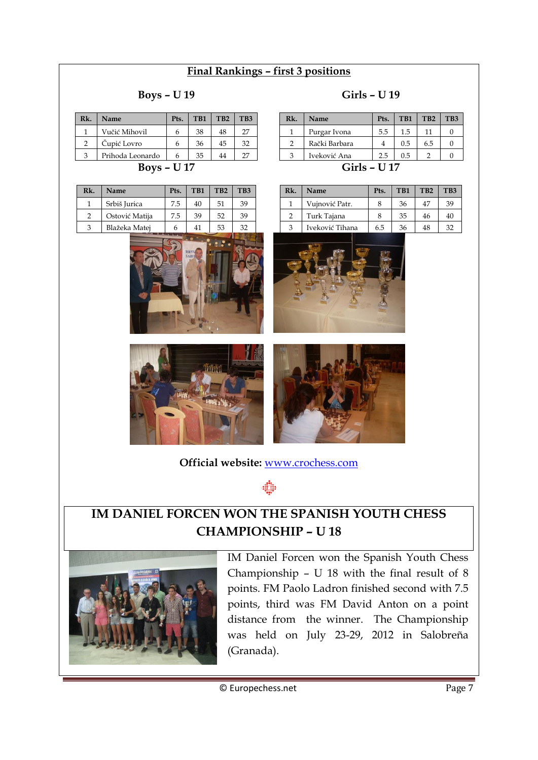### **Final Rankings – first 3 positions**

#### **Boys – U 19**

| Rk. | <b>Name</b>      | Pts. | TB <sub>1</sub> | T <sub>B</sub> 2 | TB <sub>3</sub> |
|-----|------------------|------|-----------------|------------------|-----------------|
|     | Vučić Mihovil    |      | 38              | 48               | 27              |
| C   | Čupić Lovro      |      | 36              | 45               | 32              |
| ٩   | Prihoda Leonardo |      | 35              | 44               | דר              |
|     |                  |      |                 |                  |                 |

**Boys – U 17** 

| Srbiš Jurica<br>7.5<br>40   | 51 | 39 |
|-----------------------------|----|----|
| 39<br>Ostović Matija<br>7.5 | 52 | 39 |
| Blažeka Matei<br>κ<br>41    | 53 | 32 |



**Girls – U 17** 

| Rk. | <b>Name</b>     | Pts. | TB1 | T <sub>B</sub> 2 | TB <sub>3</sub> |
|-----|-----------------|------|-----|------------------|-----------------|
|     | Vujnović Patr.  | 8    | 36  | 47               | 39              |
| 2   | Turk Tajana     | 8    | 35  | 46               | 40              |
| 3   | Iveković Tihana | 6.5  | 36  | 48               | 32              |







**Official website:** [www.crochess.com](http://www.crochess.com/) 

### **IM DANIEL FORCEN WON THE SPANISH YOUTH CHESS CHAMPIONSHIP – U 18**



IM Daniel Forcen won the Spanish Youth Chess Championship – U 18 with the final result of 8 points. FM Paolo Ladron finished second with 7.5 points, third was FM David Anton on a point distance from the winner. The Championship was held on July 23-29, 2012 in Salobreña (Granada).

© Europechess.net Page 7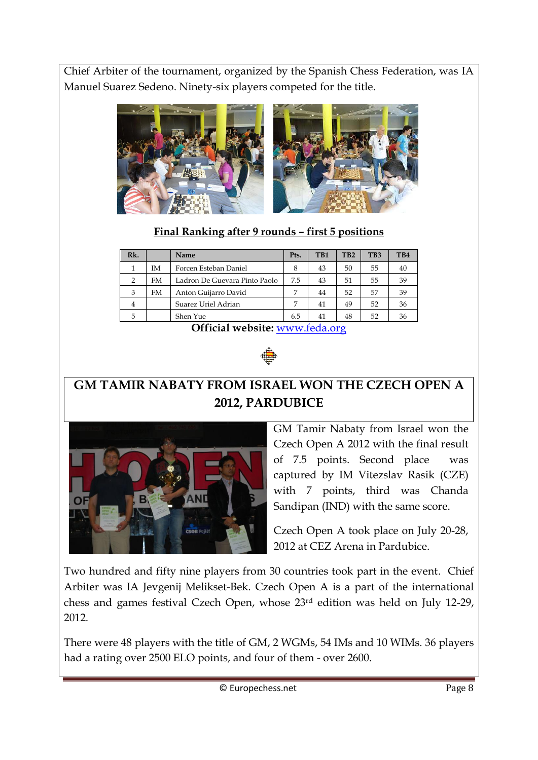Chief Arbiter of the tournament, organized by the Spanish Chess Federation, was IA Manuel Suarez Sedeno. Ninety-six players competed for the title.



### **Final Ranking after 9 rounds – first 5 positions**

| Rk. |    | Name                          | Pts. | TB1 | TB <sub>2</sub> | TB <sub>3</sub> | TB4 |
|-----|----|-------------------------------|------|-----|-----------------|-----------------|-----|
| 1   | IΜ | Forcen Esteban Daniel         | 8    | 43  | 50              | 55              | 40  |
| 2   | FM | Ladron De Guevara Pinto Paolo | 7.5  | 43  | 51              | 55              | 39  |
| 3   | FM | Anton Guijarro David          | 7    | 44  | 52              | 57              | 39  |
| 4   |    | Suarez Uriel Adrian           | 7    | 41  | 49              | 52              | 36  |
| 5   |    | Shen Yue                      | 6.5  | 41  | 48              | 52              | 36  |

**Official website:** [www.feda.org](http://www.feda.org/) 



## **GM TAMIR NABATY FROM ISRAEL WON THE CZECH OPEN A 2012, PARDUBICE**



GM Tamir Nabaty from Israel won the Czech Open A 2012 with the final result of 7.5 points. Second place was captured by IM Vitezslav Rasik (CZE) with 7 points, third was Chanda Sandipan (IND) with the same score.

Czech Open A took place on July 20-28, 2012 at CEZ Arena in Pardubice.

Two hundred and fifty nine players from 30 countries took part in the event. Chief Arbiter was IA Jevgenij Melikset-Bek. Czech Open A is a part of the international chess and games festival Czech Open, whose 23rd edition was held on July 12-29, 2012.

There were 48 players with the title of GM, 2 WGMs, 54 IMs and 10 WIMs. 36 players had a rating over 2500 ELO points, and four of them - over 2600.